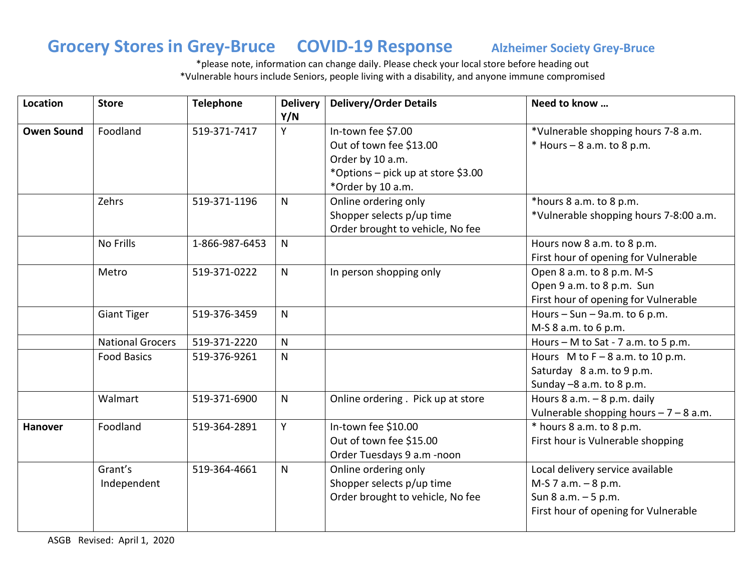### **Grocery Stores in Grey-Bruce COVID-19 Response Alzheimer Society Grey-Bruce**

\*please note, information can change daily. Please check your local store before heading out \*Vulnerable hours include Seniors, people living with a disability, and anyone immune compromised

| Location          | <b>Store</b>            | <b>Telephone</b> | <b>Delivery</b> | <b>Delivery/Order Details</b>      | Need to know                            |
|-------------------|-------------------------|------------------|-----------------|------------------------------------|-----------------------------------------|
|                   |                         |                  | Y/N             |                                    |                                         |
| <b>Owen Sound</b> | Foodland                | 519-371-7417     | Y               | In-town fee \$7.00                 | *Vulnerable shopping hours 7-8 a.m.     |
|                   |                         |                  |                 | Out of town fee \$13.00            | $*$ Hours - 8 a.m. to 8 p.m.            |
|                   |                         |                  |                 | Order by 10 a.m.                   |                                         |
|                   |                         |                  |                 | *Options - pick up at store \$3.00 |                                         |
|                   |                         |                  |                 | *Order by 10 a.m.                  |                                         |
|                   | Zehrs                   | 519-371-1196     | $\mathsf{N}$    | Online ordering only               | *hours 8 a.m. to 8 p.m.                 |
|                   |                         |                  |                 | Shopper selects p/up time          | *Vulnerable shopping hours 7-8:00 a.m.  |
|                   |                         |                  |                 | Order brought to vehicle, No fee   |                                         |
|                   | No Frills               | 1-866-987-6453   | $\mathsf{N}$    |                                    | Hours now 8 a.m. to 8 p.m.              |
|                   |                         |                  |                 |                                    | First hour of opening for Vulnerable    |
|                   | Metro                   | 519-371-0222     | $\mathsf{N}$    | In person shopping only            | Open 8 a.m. to 8 p.m. M-S               |
|                   |                         |                  |                 |                                    | Open 9 a.m. to 8 p.m. Sun               |
|                   |                         |                  |                 |                                    | First hour of opening for Vulnerable    |
|                   | <b>Giant Tiger</b>      | 519-376-3459     | $\mathsf{N}$    |                                    | Hours $-$ Sun $-$ 9a.m. to 6 p.m.       |
|                   |                         |                  |                 |                                    | M-S 8 a.m. to 6 p.m.                    |
|                   | <b>National Grocers</b> | 519-371-2220     | $\mathsf{N}$    |                                    | Hours $-$ M to Sat - 7 a.m. to 5 p.m.   |
|                   | <b>Food Basics</b>      | 519-376-9261     | $\mathsf{N}$    |                                    | Hours M to $F - 8$ a.m. to 10 p.m.      |
|                   |                         |                  |                 |                                    | Saturday 8 a.m. to 9 p.m.               |
|                   |                         |                  |                 |                                    | Sunday -8 a.m. to 8 p.m.                |
|                   | Walmart                 | 519-371-6900     | $\mathsf{N}$    | Online ordering. Pick up at store  | Hours $8$ a.m. $-8$ p.m. daily          |
|                   |                         |                  |                 |                                    | Vulnerable shopping hours $-7 - 8$ a.m. |
| <b>Hanover</b>    | Foodland                | 519-364-2891     | Y               | In-town fee \$10.00                | * hours 8 a.m. to 8 p.m.                |
|                   |                         |                  |                 | Out of town fee \$15.00            | First hour is Vulnerable shopping       |
|                   |                         |                  |                 | Order Tuesdays 9 a.m -noon         |                                         |
|                   | Grant's                 | 519-364-4661     | $\mathsf{N}$    | Online ordering only               | Local delivery service available        |
|                   | Independent             |                  |                 | Shopper selects p/up time          | $M-S 7 a.m. - 8 p.m.$                   |
|                   |                         |                  |                 | Order brought to vehicle, No fee   | Sun 8 a.m. - 5 p.m.                     |
|                   |                         |                  |                 |                                    | First hour of opening for Vulnerable    |
|                   |                         |                  |                 |                                    |                                         |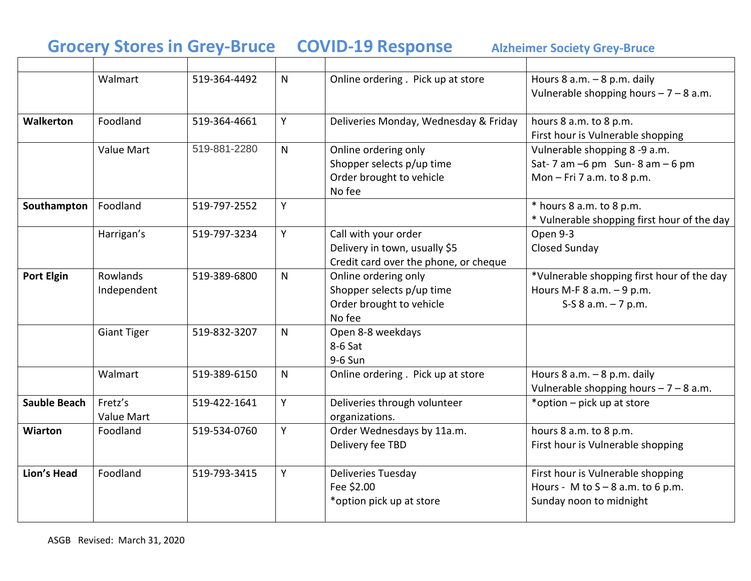# **Grocery Stores in Grey-Bruce COVID-19 Response Alzheimer Society Grey-Bruce**

|                     | Walmart                 | 519-364-4492 | $\mathsf{N}$ | Online ordering . Pick up at store                                                             | Hours $8$ a.m. $-8$ p.m. daily<br>Vulnerable shopping hours $-7 - 8$ a.m.                            |
|---------------------|-------------------------|--------------|--------------|------------------------------------------------------------------------------------------------|------------------------------------------------------------------------------------------------------|
| <b>Walkerton</b>    | Foodland                | 519-364-4661 | Y            | Deliveries Monday, Wednesday & Friday                                                          | hours 8 a.m. to 8 p.m.<br>First hour is Vulnerable shopping                                          |
|                     | Value Mart              | 519-881-2280 | $\mathsf{N}$ | Online ordering only<br>Shopper selects p/up time<br>Order brought to vehicle<br>No fee        | Vulnerable shopping 8-9 a.m.<br>Sat-7 am $-6$ pm Sun-8 am $-6$ pm<br>Mon - Fri 7 a.m. to 8 p.m.      |
| Southampton         | Foodland                | 519-797-2552 | Y            |                                                                                                | * hours 8 a.m. to 8 p.m.<br>* Vulnerable shopping first hour of the day                              |
|                     | Harrigan's              | 519-797-3234 | Y            | Call with your order<br>Delivery in town, usually \$5<br>Credit card over the phone, or cheque | Open 9-3<br><b>Closed Sunday</b>                                                                     |
| <b>Port Elgin</b>   | Rowlands<br>Independent | 519-389-6800 | $\mathsf{N}$ | Online ordering only<br>Shopper selects p/up time<br>Order brought to vehicle<br>No fee        | *Vulnerable shopping first hour of the day<br>Hours M-F $8$ a.m. $-9$ p.m.<br>S-S $8$ a.m. $-7$ p.m. |
|                     | <b>Giant Tiger</b>      | 519-832-3207 | $\mathsf{N}$ | Open 8-8 weekdays<br>$8-6$ Sat<br>9-6 Sun                                                      |                                                                                                      |
|                     | Walmart                 | 519-389-6150 | $\mathsf{N}$ | Online ordering. Pick up at store                                                              | Hours $8$ a.m. $-8$ p.m. daily<br>Vulnerable shopping hours $-7 - 8$ a.m.                            |
| <b>Sauble Beach</b> | Fretz's<br>Value Mart   | 519-422-1641 | Y            | Deliveries through volunteer<br>organizations.                                                 | *option – pick up at store                                                                           |
| <b>Wiarton</b>      | Foodland                | 519-534-0760 | Y            | Order Wednesdays by 11a.m.<br>Delivery fee TBD                                                 | hours 8 a.m. to 8 p.m.<br>First hour is Vulnerable shopping                                          |
| <b>Lion's Head</b>  | Foodland                | 519-793-3415 | Y            | Deliveries Tuesday<br>Fee \$2.00<br>*option pick up at store                                   | First hour is Vulnerable shopping<br>Hours - M to $S - 8$ a.m. to 6 p.m.<br>Sunday noon to midnight  |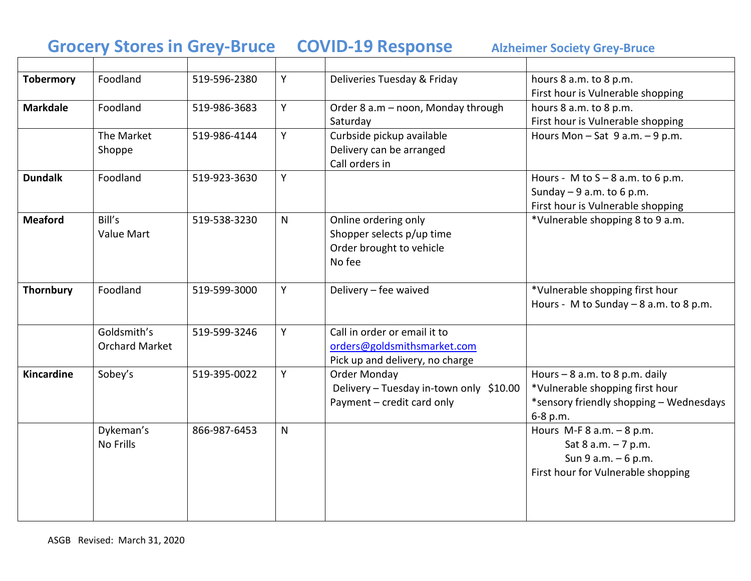# **Grocery Stores in Grey-Bruce COVID-19 Response Alzheimer Society Grey-Bruce**

| <b>Tobermory</b> | Foodland                             | 519-596-2380 | Y            | Deliveries Tuesday & Friday                                                                    | hours 8 a.m. to 8 p.m.<br>First hour is Vulnerable shopping                                                               |
|------------------|--------------------------------------|--------------|--------------|------------------------------------------------------------------------------------------------|---------------------------------------------------------------------------------------------------------------------------|
| <b>Markdale</b>  | Foodland                             | 519-986-3683 | Y            | Order 8 a.m - noon, Monday through<br>Saturday                                                 | hours 8 a.m. to 8 p.m.<br>First hour is Vulnerable shopping                                                               |
|                  | The Market<br>Shoppe                 | 519-986-4144 | Y            | Curbside pickup available<br>Delivery can be arranged<br>Call orders in                        | Hours Mon $-$ Sat 9 a.m. $-$ 9 p.m.                                                                                       |
| <b>Dundalk</b>   | Foodland                             | 519-923-3630 | Y            |                                                                                                | Hours - M to $S - 8$ a.m. to 6 p.m.<br>Sunday $-9$ a.m. to 6 p.m.<br>First hour is Vulnerable shopping                    |
| <b>Meaford</b>   | Bill's<br>Value Mart                 | 519-538-3230 | $\mathsf{N}$ | Online ordering only<br>Shopper selects p/up time<br>Order brought to vehicle<br>No fee        | *Vulnerable shopping 8 to 9 a.m.                                                                                          |
| <b>Thornbury</b> | Foodland                             | 519-599-3000 | Y.           | Delivery - fee waived                                                                          | *Vulnerable shopping first hour<br>Hours - M to Sunday $-$ 8 a.m. to 8 p.m.                                               |
|                  | Goldsmith's<br><b>Orchard Market</b> | 519-599-3246 | Y            | Call in order or email it to<br>orders@goldsmithsmarket.com<br>Pick up and delivery, no charge |                                                                                                                           |
| Kincardine       | Sobey's                              | 519-395-0022 | Y            | Order Monday<br>Delivery - Tuesday in-town only \$10.00<br>Payment - credit card only          | Hours $-8$ a.m. to 8 p.m. daily<br>*Vulnerable shopping first hour<br>*sensory friendly shopping - Wednesdays<br>6-8 p.m. |
|                  | Dykeman's<br><b>No Frills</b>        | 866-987-6453 | $\mathsf{N}$ |                                                                                                | Hours M-F $8$ a.m. $-8$ p.m.<br>Sat $8$ a.m. $-7$ p.m.<br>Sun 9 a.m. - 6 p.m.<br>First hour for Vulnerable shopping       |